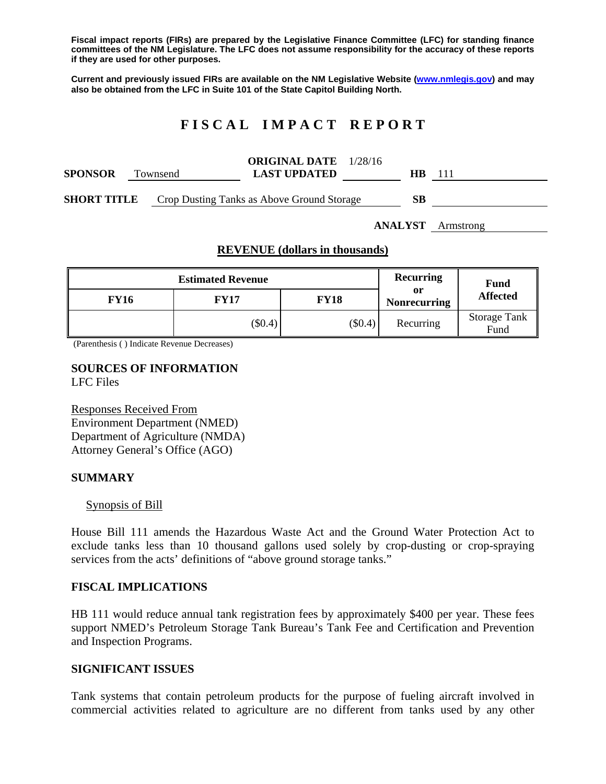**Fiscal impact reports (FIRs) are prepared by the Legislative Finance Committee (LFC) for standing finance committees of the NM Legislature. The LFC does not assume responsibility for the accuracy of these reports if they are used for other purposes.** 

**Current and previously issued FIRs are available on the NM Legislative Website (www.nmlegis.gov) and may also be obtained from the LFC in Suite 101 of the State Capitol Building North.** 

# **F I S C A L I M P A C T R E P O R T**

| <b>SPONSOR</b>     | Townsend | <b>ORIGINAL DATE</b> 1/28/16<br><b>LAST UPDATED</b> | <b>HB</b> | -111 |
|--------------------|----------|-----------------------------------------------------|-----------|------|
| <b>SHORT TITLE</b> |          | Crop Dusting Tanks as Above Ground Storage          | SВ        |      |

**ANALYST** Armstrong

# **REVENUE (dollars in thousands)**

|             | <b>Estimated Revenue</b> | Recurring   | Fund                      |                             |
|-------------|--------------------------|-------------|---------------------------|-----------------------------|
| <b>FY16</b> | <b>FY17</b>              | <b>FY18</b> | or<br><b>Nonrecurring</b> | <b>Affected</b>             |
|             | $(\$0.4)$                | $(\$0.4)$   | Recurring                 | <b>Storage Tank</b><br>Fund |

(Parenthesis ( ) Indicate Revenue Decreases)

#### **SOURCES OF INFORMATION**  LFC Files

Responses Received From Environment Department (NMED) Department of Agriculture (NMDA) Attorney General's Office (AGO)

#### **SUMMARY**

#### Synopsis of Bill

House Bill 111 amends the Hazardous Waste Act and the Ground Water Protection Act to exclude tanks less than 10 thousand gallons used solely by crop-dusting or crop-spraying services from the acts' definitions of "above ground storage tanks."

#### **FISCAL IMPLICATIONS**

HB 111 would reduce annual tank registration fees by approximately \$400 per year. These fees support NMED's Petroleum Storage Tank Bureau's Tank Fee and Certification and Prevention and Inspection Programs.

#### **SIGNIFICANT ISSUES**

Tank systems that contain petroleum products for the purpose of fueling aircraft involved in commercial activities related to agriculture are no different from tanks used by any other